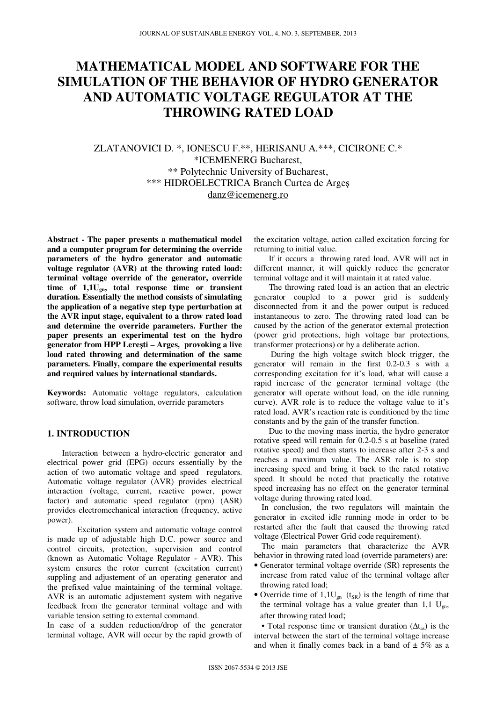# **MATHEMATICAL MODEL AND SOFTWARE FOR THE SIMULATION OF THE BEHAVIOR OF HYDRO GENERATOR AND AUTOMATIC VOLTAGE REGULATOR AT THE THROWING RATED LOAD**

ZLATANOVICI D. \*, IONESCU F.\*\*, HERISANU A.\*\*\*, CICIRONE C.\* \*ICEMENERG Bucharest, \*\* Polytechnic University of Bucharest, \*\*\* HIDROELECTRICA Branch Curtea de Argeş danz@icemenerg.ro

**Abstract - The paper presents a mathematical model and a computer program for determining the override parameters of the hydro generator and automatic voltage regulator (AVR) at the throwing rated load: terminal voltage override of the generator, override time of 1,1Ugn, total response time or transient duration. Essentially the method consists of simulating the application of a negative step type perturbation at the AVR input stage, equivalent to a throw rated load and determine the override parameters. Further the paper presents an experimental test on the hydro generator from HPP Lere**ş**ti – Arges, provoking a live load rated throwing and determination of the same parameters. Finally, compare the experimental results and required values by international standards.**

**Keywords:** Automatic voltage regulators, calculation software, throw load simulation, override parameters

## **1. INTRODUCTION**

Interaction between a hydro-electric generator and electrical power grid (EPG) occurs essentially by the action of two automatic voltage and speed regulators. Automatic voltage regulator (AVR) provides electrical interaction (voltage, current, reactive power, power factor) and automatic speed regulator (rpm) (ASR) provides electromechanical interaction (frequency, active power).

Excitation system and automatic voltage control is made up of adjustable high D.C. power source and control circuits, protection, supervision and control (known as Automatic Voltage Regulator - AVR). This system ensures the rotor current (excitation current) suppling and adjustement of an operating generator and the prefixed value maintaining of the terminal voltage. AVR is an automatic adjustement system with negative feedback from the generator terminal voltage and with variable tension setting to external command.

In case of a sudden reduction/drop of the generator terminal voltage, AVR will occur by the rapid growth of

the excitation voltage, action called excitation forcing for returning to initial value.

If it occurs a throwing rated load, AVR will act in different manner, it will quickly reduce the generator terminal voltage and it will maintain it at rated value.

The throwing rated load is an action that an electric generator coupled to a power grid is suddenly disconnected from it and the power output is reduced instantaneous to zero. The throwing rated load can be caused by the action of the generator external protection (power grid protections, high voltage bar protections, transformer protections) or by a deliberate action.

 During the high voltage switch block trigger, the generator will remain in the first 0.2-0.3 s with a corresponding excitation for it's load, what will cause a rapid increase of the generator terminal voltage (the generator will operate without load, on the idle running curve). AVR role is to reduce the voltage value to it's rated load. AVR's reaction rate is conditioned by the time constants and by the gain of the transfer function.

Due to the moving mass inertia, the hydro generator rotative speed will remain for 0.2-0.5 s at baseline (rated rotative speed) and then starts to increase after 2-3 s and reaches a maximum value. The ASR role is to stop increasing speed and bring it back to the rated rotative speed. It should be noted that practically the rotative speed increasing has no effect on the generator terminal voltage during throwing rated load.

In conclusion, the two regulators will maintain the generator in excited idle running mode in order to be restarted after the fault that caused the throwing rated voltage (Electrical Power Grid code requirement).

The main parameters that characterize the AVR behavior in throwing rated load (override parameters) are:

- Generator terminal voltage override (SR) represents the increase from rated value of the terminal voltage after throwing rated load;
- Override time of  $1,1U_{\text{gn}}$  (t<sub>SR</sub>) is the length of time that the terminal voltage has a value greater than 1,1  $U_{\text{gn}}$ , after throwing rated load;

• Total response time or transient duration  $(\Delta t_{as})$  is the interval between the start of the terminal voltage increase and when it finally comes back in a band of  $\pm$  5% as a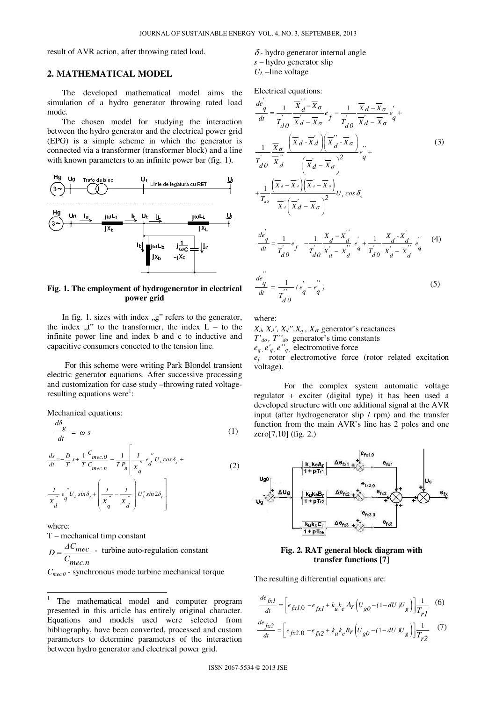result of AVR action, after throwing rated load.

## **2. MATHEMATICAL MODEL**

The developed mathematical model aims the simulation of a hydro generator throwing rated load mode.

The chosen model for studying the interaction between the hydro generator and the electrical power grid (EPG) is a simple scheme in which the generator is connected via a transformer (transformer block) and a line with known parameters to an infinite power bar (fig. 1).



## **Fig. 1. The employment of hydrogenerator in electrical power grid**

In fig. 1. sizes with index  $\mathbb{R}^n$  refers to the generator, the index  $\mu$ <sup>"</sup> to the transformer, the index  $L -$  to the infinite power line and index b and c to inductive and capacitive consumers conected to the tension line.

For this scheme were writing Park Blondel transient electric generator equations. After successive processing and customization for case study –throwing rated voltageresulting equations were<sup>1</sup>:

Mechanical equations:

$$
\frac{d\delta_g}{dt} = \omega s \tag{1}
$$

$$
\frac{ds}{dt} = -\frac{D}{T} s + \frac{1}{T} \frac{C_{mec,0}}{C_{mec,n}} - \frac{1}{T P_n} \left[ \frac{I}{X_q^{"}} e_d^{"} U_L \cos \delta_s + \frac{I}{X_d^{"}} e_q^{"} U_L \sin \delta_s + \left( \frac{I}{X_q^{"}} - \frac{I}{X_d^{"}} \right) U_L^2 \sin 2\delta_s \right]
$$
\n(2)

where: T – mechanical timp constant  $D = \frac{AC_{mec}}{AC_{mec}}$  - turbine auto-regulation constant *Cmec.n* = *Cmec.0* - synchronous mode turbine mechanical torque

 1 The mathematical model and computer program presented in this article has entirely original character. Equations and models used were selected from bibliography, have been converted, processed and custom parameters to determine parameters of the interaction between hydro generator and electrical power grid.

## δ *-* hydro generator internal angle *s* – hydro generator slip  $U_L$  –line voltage

Electrical equations:

$$
\frac{de'}{dt} = \frac{1}{T'_{d0}} \frac{\overline{X'}_{d} - \overline{X}_{\sigma}}{\overline{X'}_{d} - \overline{X}_{\sigma}} e_{f} - \frac{1}{T'_{d0}} \frac{\overline{X}_{d} - \overline{X}_{\sigma}}{\overline{X'}_{d} - \overline{X}_{\sigma}} e_{q}^{'} + \frac{1}{T'_{d0}} \frac{\overline{X}_{\sigma}}{\overline{X'}_{d} - \overline{X}_{\sigma}} e_{q}^{'} + \frac{1}{T'_{d0}} \frac{\overline{X}_{\sigma}}{\overline{X'}_{d}} \left(\overline{X}_{d} - \overline{X}_{\sigma}\right)^{2} e_{q}^{'} + \frac{1}{T'_{d0}} \frac{\left(\overline{X}_{d} - \overline{X}_{d}\right)\left(\overline{X'}_{d} - \overline{X}_{\sigma}\right)^{2}}{\overline{X'}_{d}} U_{d} \cos \delta_{g}
$$
\n
$$
\frac{de'}{dt} = \frac{1}{T'_{d0}} e_{f} - \frac{1}{T'_{d0}} \frac{X_{d} - X_{d}^{'}}{X'_{d} - X_{d}^{'} e_{q}^{'} + \frac{1}{T'_{d0}} \frac{X_{d} - X_{d}^{'}}{X'_{d} - X_{d}^{'} e_{q}^{''}} e_{q}^{''}}{u_{d}^{'} e_{q}^{'} + \frac{1}{T'_{d0}} \frac{X_{d} - X_{d}^{'}}{X'_{d} - X_{d}^{''}} e_{q}^{''}} (4)
$$
\n
$$
\frac{de'}{dt} = \frac{1}{T'_{d0}} (e_{q}^{'} - e_{q}^{''})
$$
\n(5)

where:

 $X_d$ ,  $X_d$ <sup>'</sup>,  $X_d$ <sup>''</sup>,  $X_q$ ,  $X_\sigma$  generator's reactances *T'do , T''do* generator's time constants  $e_q$ ,  $e'_{q}$ ,  $e''_{q}$ , electromotive force

*ef* rotor electromotive force (rotor related excitation voltage).

For the complex system automatic voltage regulator + exciter (digital type) it has been used a developed structure with one additional signal at the AVR input (after hydrogenerator slip / rpm) and the transfer function from the main AVR's line has 2 poles and one zero[7,10] (fig. 2.)



## **Fig. 2. RAT general block diagram with transfer functions [7]**

The resulting differential equations are:

$$
\frac{de_{fxI}}{dt} = \left[ e_{fxI.0} - e_{fxI} + k_u k_e A_r \left( U_{g0} - (1 - dU) U_g \right) \right] \frac{1}{T_{rI}} \quad (6)
$$
\n
$$
\frac{de_{fx2}}{dt} = \left[ e_{fx2.0} - e_{fx2} + k_u k_e B_r \left( U_{g0} - (1 - dU) U_g \right) \right] \frac{1}{T_{r2}} \quad (7)
$$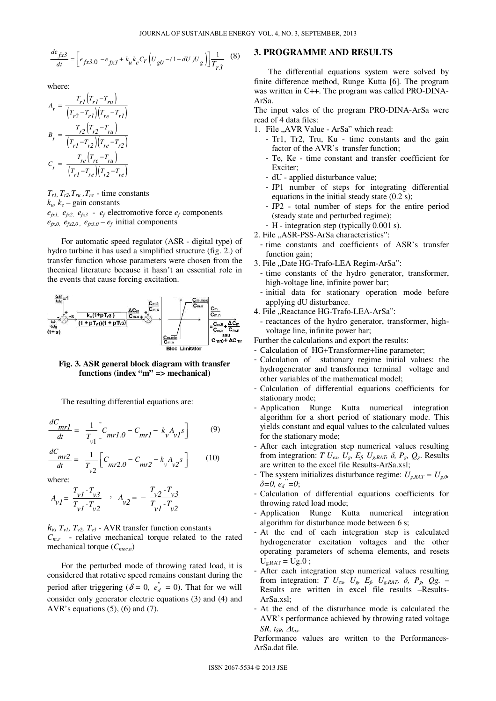$$
\frac{de_{fx3}}{dt} = \left[ e_{fx3.0} - e_{fx3} + k_u k_e C_r \left( U_{g0} - (1 - dU) U_g \right) \right] \frac{1}{T_{r3}} \tag{8}
$$

where:

$$
A_r = \frac{T_{r1}(T_{r1} - T_{ru})}{(T_{r2} - T_{r1})(T_{re} - T_{r1})}
$$
  
\n
$$
B_r = \frac{T_{r2}(T_{r2} - T_{ru})}{(T_{r1} - T_{r2})(T_{re} - T_{r2})}
$$
  
\n
$$
C_r = \frac{T_{re}(T_{re} - T_{ru})}{(T_{r1} - T_{re})(T_{r2} - T_{re})}
$$

 $T_{r1}$ ,  $T_{r2}$ ,  $T_{ru}$ ,  $T_{re}$  - time constants  $k_{\nu}$ ,  $k_{e}$  – gain constants  $e_{fx1}$ ,  $e_{fx2}$ ,  $e_{fx3}$  -  $e_f$  electromotive force  $e_f$  components  $e_{fx,0}$ ,  $e_{fx,2,0}$ ,  $e_{fx,3,0} - e_f$  initial components

For automatic speed regulator (ASR - digital type) of hydro turbine it has used a simplified structure (fig. 2.) of transfer function whose parameters were chosen from the thecnical literature because it hasn't an essential role in the events that cause forcing excitation.



**Fig. 3. ASR general block diagram with transfer functions (index "m" => mechanical)** 

The resulting differential equations are:

$$
\frac{dC_{mrl}}{dt} = \frac{1}{T_{v1}} \Big[ C_{mrl.0} - C_{mrl} - k_{v} A_{vl} s \Big]
$$
(9)

$$
\frac{dC_{mr2}}{dt} = \frac{1}{T_{v2}} \left[ C_{mr2.0} - C_{mr2} - k_v A_{v2} s \right]
$$
 (10)

where:

$$
A_{vI} = \frac{T_{vI} - T_{v3}}{T_{vI} - T_{v2}} , A_{v2} = -\frac{T_{v2} - T_{v3}}{T_{vI} - T_{v2}}
$$

 $k_v$ ,  $T_{v1}$ ,  $T_{v2}$ ,  $T_{v3}$  - AVR transfer function constants  $C_{m,r}$  - relative mechanical torque related to the rated mechanical torque (*Cmec.n*)

For the perturbed mode of throwing rated load, it is considered that rotative speed remains constant during the period after triggering ( $\delta = 0$ ,  $e_{d}^{''} = 0$ ). That for we will consider only generator electric equations (3) and (4) and AVR's equations  $(5)$ ,  $(6)$  and  $(7)$ .

## **3. PROGRAMME AND RESULTS**

The differential equations system were solved by finite difference method, Runge Kutta [6]. The program was written in C++. The program was called PRO-DINA-ArSa.

The input vales of the program PRO-DINA-ArSa were read of 4 data files:

- 1. File "AVR Value ArSa" which read:
	- Tr1, Tr2, Tru, Ku time constants and the gain factor of the AVR's transfer function;
	- Te, Ke time constant and transfer coefficient for Exciter;
	- dU applied disturbance value;
	- JP1 number of steps for integrating differential equations in the initial steady state (0.2 s);
	- JP2 total number of steps for the entire period (steady state and perturbed regime);
	- H integration step (typically 0.001 s).
- 2. File "ASR-PSS-ArSa characteristics":
- time constants and coefficients of ASR's transfer function gain;
- 3. File "Date HG-Trafo-LEA Regim-ArSa":
- time constants of the hydro generator, transformer, high-voltage line, infinite power bar;
- initial data for stationary operation mode before applying dU disturbance.
- 4. File "Reactance HG-Trafo-LEA-ArSa":
- reactances of the hydro generator, transformer, highvoltage line, infinite power bar;

Further the calculations and export the results:

- Calculation of HG+Transformer+line parameter;
- Calculation of stationary regime initial values: the hydrogenerator and transformer terminal voltage and other variables of the mathematical model;
- Calculation of differential equations coefficients for stationary mode;
- Application Runge Kutta numerical integration algorithm for a short period of stationary mode. This yields constant and equal values to the calculated values for the stationary mode;
- After each integration step numerical values resulting from integration: *T*  $U_{ex}$ ,  $U_{g}$ ,  $E_{f}$ ,  $U_{g,RAT}$ ,  $\delta$ ,  $P_{g}$ ,  $Q_{g}$ . Results are written to the excel file Results-ArSa.xsl;
- The system initializes disturbance regime:  $U_{g,RAT} = U_{g,0}$  $\delta = 0, e_d = 0;$
- Calculation of differential equations coefficients for throwing rated load mode;
- Application Runge Kutta numerical integration algorithm for disturbance mode between 6 s;
- At the end of each integration step is calculated hydrogenerator excitation voltages and the other operating parameters of schema elements, and resets  $U_{g.RAT} = Ug.0$ ;
- After each integration step numerical values resulting from integration: *T*  $U_{ex}$ ,  $U_{g}$ ,  $E_{f}$ ,  $U_{g.RAT}$ ,  $\delta$ ,  $P_{g}$ ,  $Qg$ . – Results are written in excel file results –Results- $ArSa$  xsl;
- At the end of the disturbance mode is calculated the AVR's performance achieved by throwing rated voltage *SR, tsp, ∆t<sub>as</sub>*.

Performance values are written to the Performances-ArSa.dat file.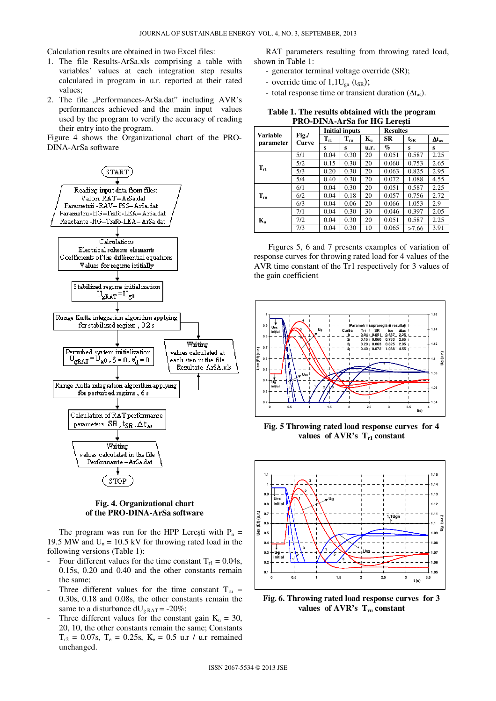Calculation results are obtained in two Excel files:

- 1. The file Results-ArSa.xls comprising a table with variables' values at each integration step results calculated in program in u.r. reported at their rated values;
- 2. The file "Performances-ArSa.dat" including AVR's performances achieved and the main input values used by the program to verify the accuracy of reading their entry into the program.

Figure 4 shows the Organizational chart of the PRO-DINA-ArSa software



#### **Fig. 4. Organizational chart of the PRO-DINA-ArSa software**

The program was run for the HPP Leresti with  $P_n =$ 19.5 MW and  $U_n = 10.5$  kV for throwing rated load in the following versions (Table 1):

- Four different values for the time constant  $T_{r1} = 0.04$ s, 0.15s, 0.20 and 0.40 and the other constants remain the same;
- Three different values for the time constant  $T_{ru}$  = 0.30s, 0.18 and 0.08s, the other constants remain the same to a disturbance  $dU_{g.RAT} = -20\%;$
- Three different values for the constant gain  $K_u = 30$ , 20, 10, the other constants remain the same; Constants  $T_{r2} = 0.07$ s,  $T_e = 0.25$ s,  $K_e = 0.5$  u.r / u.r remained unchanged.

RAT parameters resulting from throwing rated load, shown in Table 1:

- generator terminal voltage override (SR);
- override time of  $1,1U_{gn}$  (t<sub>SR</sub>);
- total response time or transient duration  $(\Delta t_{as})$ .

**Table 1. The results obtained with the program PRO-DINA-ArSa for HG Lere**ş**ti** 

| Variable<br>parameter     | Fig./<br>Curve | <b>Initial inputs</b> |          |                           | <b>Resultes</b> |          |                 |
|---------------------------|----------------|-----------------------|----------|---------------------------|-----------------|----------|-----------------|
|                           |                | $T_{r1}$              | $T_{ru}$ | $\mathbf{K}_{\mathbf{n}}$ | <b>SR</b>       | $t_{SR}$ | $\Delta t_{as}$ |
|                           |                | s                     | s        | u.r.                      | $\%$            | s        | s               |
| $T_{r1}$                  | 5/1            | 0.04                  | 0.30     | 20                        | 0.051           | 0.587    | 2.25            |
|                           | 5/2            | 0.15                  | 0.30     | 20                        | 0.060           | 0.753    | 2.65            |
|                           | 5/3            | 0.20                  | 0.30     | 20                        | 0.063           | 0.825    | 2.95            |
|                           | 5/4            | 0.40                  | 0.30     | 20                        | 0.072           | 1.088    | 4.55            |
| $T_{\rm m}$               | 6/1            | 0.04                  | 0.30     | 20                        | 0.051           | 0.587    | 2.25            |
|                           | 6/2            | 0.04                  | 0.18     | 20                        | 0.057           | 0.756    | 2.72            |
|                           | 6/3            | 0.04                  | 0.06     | 20                        | 0.066           | 1.053    | 2.9             |
| $\mathbf{K}_{\mathbf{u}}$ | 7/1            | 0.04                  | 0.30     | 30                        | 0.046           | 0.397    | 2.05            |
|                           | 7/2            | 0.04                  | 0.30     | 20                        | 0.051           | 0.587    | 2.25            |
|                           | 7/3            | 0.04                  | 0.30     | 10                        | 0.065           | >7.66    | 3.91            |

Figures 5, 6 and 7 presents examples of variation of response curves for throwing rated load for 4 values of the AVR time constant of the Tr1 respectively for 3 values of the gain coefficient



**Fig. 5 Throwing rated load response curves for 4**  values of AVR's  $T_{r1}$  constant



**Fig. 6. Throwing rated load response curves for 3 values of AVR's Tru constant**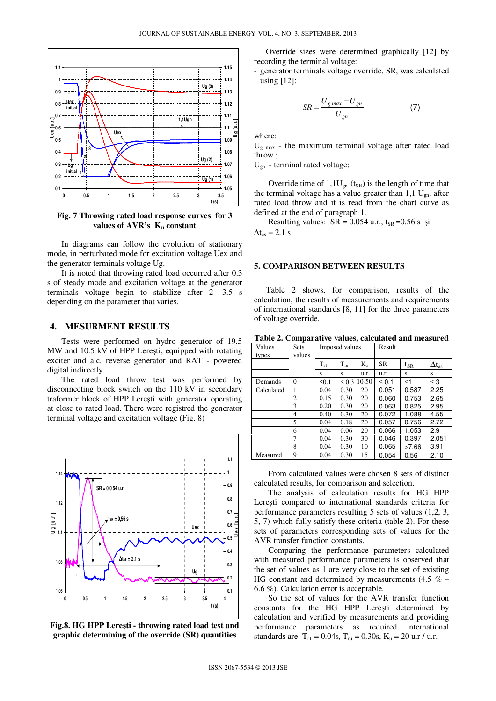

**Fig. 7 Throwing rated load response curves for 3 values of AVR's Ku constant** 

In diagrams can follow the evolution of stationary mode, in perturbated mode for excitation voltage Uex and the generator terminals voltage Ug.

It is noted that throwing rated load occurred after 0.3 s of steady mode and excitation voltage at the generator terminals voltage begin to stabilize after 2 -3.5 s depending on the parameter that varies.

## **4. MESURMENT RESULTS**

Tests were performed on hydro generator of 19.5 MW and 10.5 kV of HPP Lereşti, equipped with rotating exciter and a.c. reverse generator and RAT - powered digital indirectly.

The rated load throw test was performed by disconnecting block switch on the 110 kV in secondary traformer block of HPP Lereşti with generator operating at close to rated load. There were registred the generator terminal voltage and excitation voltage (Fig. 8)



**Fig.8. HG HPP Lere**ş**ti - throwing rated load test and graphic determining of the override (SR) quantities**

Override sizes were determined graphically [12] by recording the terminal voltage:

- generator terminals voltage override, SR, was calculated using [12]:

$$
SR = \frac{U_{gmax} - U_{gn}}{U_{gn}} \tag{7}
$$

where:

 $U_{g \text{max}}$  - the maximum terminal voltage after rated load throw ;

Ugn - terminal rated voltage;

Override time of  $1,1U_{\text{gn}}$  (t<sub>SR</sub>) is the length of time that the terminal voltage has a value greater than  $1,1 \text{ U}_{\text{on}}$ , after rated load throw and it is read from the chart curve as defined at the end of paragraph 1.

Resulting values:  $SR = 0.054$  u.r.,  $t_{SR} = 0.56$  s și  $\Delta t_{\rm as} = 2.1$  s

#### **5. COMPARISON BETWEEN RESULTS**

Table 2 shows, for comparison, results of the calculation, the results of measurements and requirements of international standards [8, 11] for the three parameters of voltage override.

|  | Table 2. Comparative values, calculated and measured |
|--|------------------------------------------------------|
|  |                                                      |

| Values     | <b>Sets</b> | Imposed values |            |             | Result     |          |                     |
|------------|-------------|----------------|------------|-------------|------------|----------|---------------------|
| types      | values      |                |            |             |            |          |                     |
|            |             | $T_{r1}$       | $T_{ru}$   | $K_{\rm n}$ | <b>SR</b>  | $t_{SR}$ | $\Delta t_{\rm as}$ |
|            |             | s              | s          | u.r.        | u.r.       | S        | S                   |
| Demands    | $\Omega$    | $\leq 0.1$     | $\leq 0.3$ | $10-50$     | $\leq 0,1$ | $\leq$ 1 | $\leq$ 3            |
| Calculated | 1           | 0.04           | 0.30       | 20          | 0.051      | 0.587    | 2.25                |
|            | 2           | 0.15           | 0.30       | 20          | 0.060      | 0.753    | 2.65                |
|            | 3           | 0.20           | 0.30       | 20          | 0.063      | 0.825    | 2.95                |
|            | 4           | 0.40           | 0.30       | 20          | 0.072      | 1.088    | 4.55                |
|            | 5           | 0.04           | 0.18       | 20          | 0.057      | 0.756    | 2.72                |
|            | 6           | 0.04           | 0.06       | 20          | 0.066      | 1.053    | 2.9                 |
|            | 7           | 0.04           | 0.30       | 30          | 0.046      | 0.397    | 2.051               |
|            | 8           | 0.04           | 0.30       | 10          | 0.065      | >7.66    | 3.91                |
| Measured   | 9           | 0.04           | 0.30       | 15          | 0.054      | 0.56     | 2.10                |

From calculated values were chosen 8 sets of distinct calculated results, for comparison and selection.

The analysis of calculation results for HG HPP Lereşti compared to international standards criteria for performance parameters resulting 5 sets of values (1,2, 3, 5, 7) which fully satisfy these criteria (table 2). For these sets of parameters corresponding sets of values for the AVR transfer function constants.

Comparing the performance parameters calculated with measured performance parameters is observed that the set of values as 1 are very close to the set of existing HG constant and determined by measurements  $(4.5 \% -$ 6.6 %). Calculation error is acceptable.

So the set of values for the AVR transfer function constants for the HG HPP Lereşti determined by calculation and verified by measurements and providing performance parameters as required international standards are:  $T_{r1} = 0.04$ s,  $T_{ru} = 0.30$ s,  $K_u = 20$  u.r / u.r.